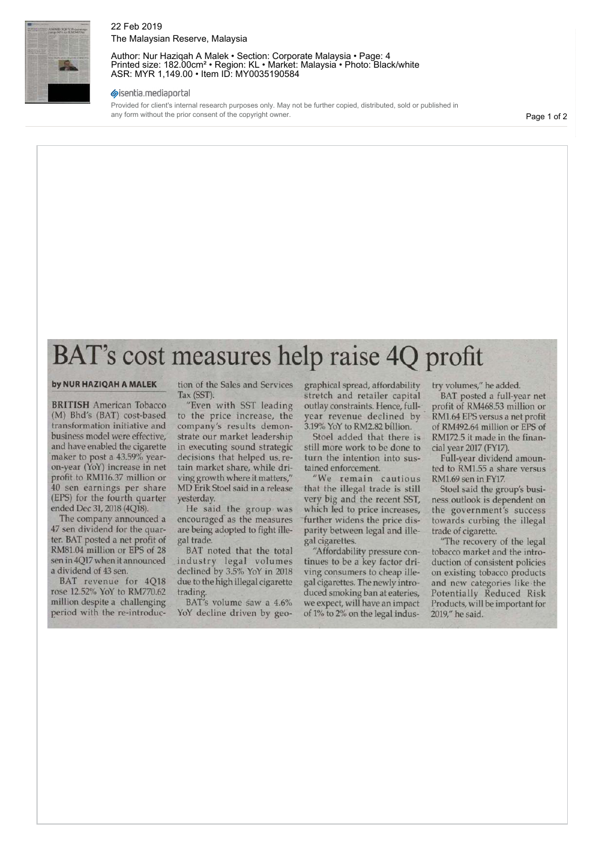

#### 22 Feb 2019 The Malaysian Reserve, Malaysia

Author: Nur Haziqah A Malek • Section: Corporate Malaysia • Page: 4 Printed size: 182.00cm² • Region: KL • Market: Malaysia • Photo: Black/white ASR: MYR 1,149.00 • Item ID: MY0035190584

#### sisentia.mediaportal

Provided for client's internal research purposes only. May not be further copied, distributed, sold or published in any form without the prior consent of the copyright owner.

Page 1 of 2

# BAT's cost measures help raise 4Q profit

#### **by NUR HAZIQAH A MALEK**

**BRITISH** American Tobacco (M) Bhd's (BAT) cost-based transformation initiative and business model were effective, and have enabled the cigarette maker to post a 43.59% yearon-year (YoY) increase in net profit to RM116.37 million or 40 sen earnings per share (EPS) for the fourth quarter ended Dec 31, 2018 (4Q18).

The company announced a 47 sen dividend for the quarter. BAT posted a net profit of RM81.04 million or EPS of 28 sen in 4Q17 when it announced a dividend of 43 sen.

BAT revenue for 4Q18 rose 12.52% YoY to RM770.62 million despite a challenging period with the re-introduction of the Sales and Services Tax (SST).

"Even with SST leading to the price increase, the company's results demonstrate our market leadership in executing sound strategic decisions that helped us. retain market share, while driving growth where it matters," MD Erik Stoel said in a release yesterday.

He said the group was encouraged as the measures are being adopted to fight illegal trade.

BAT noted that the total industry legal volumes declined by 3.5% YoY in 2018 due to the high illegal cigarette trading.

BAT's volume saw a 4.6% YoY decline driven by geographical spread, affordability stretch and retailer capital outlay constraints. Hence, fullyear revenue declined by 3.19% YoY to RM2.82 billion.

Stoel added that there is still more work to be done to turn the intention into sustained enforcement.

"We remain cautious that the illegal trade is still very big and the recent SST, which led to price increases, further widens the price disparity between legal and illegal cigarettes.

"Affordability pressure continues to be a key factor driving consumers to cheap illegal cigarettes. The newly introduced smoking ban at eateries, we expect, will have an impact of 1% to 2% on the legal industry volumes," he added.

BAT posted a full-year net profit of RM468.53 million or RM1.64 EPS versus a net profit of RM492.64 million or EPS of RM172.5 it made in the financial year 2017 (FY17).

Full-year dividend amounted to RM1.55 a share versus RM1.69 sen in FY17.

Stoel said the group's business outlook is dependent on the government's success towards curbing the illegal trade of cigarette.

"The recovery of the legal tobacco market and the introduction of consistent policies on existing tobacco products and new categories like the Potentially Reduced Risk Products, will be important for 2019," he said.